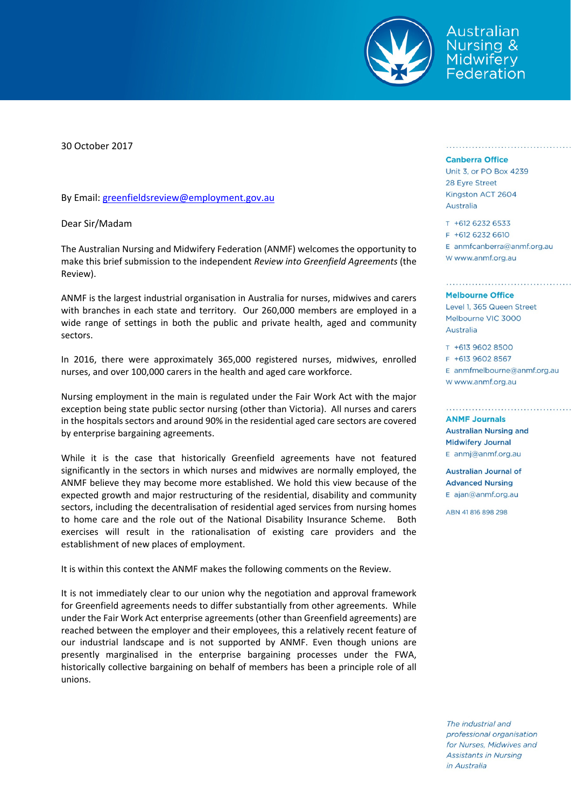

wstralian Jursing & Midwifery Federation

30 October 2017

By Email: greenfieldsreview@employment.gov.au

Dear Sir/Madam

The Australian Nursing and Midwifery Federation (ANMF) welcomes the opportunity to make this brief submission to the independent *Review into Greenfield Agreements* (the Review).

ANMF is the largest industrial organisation in Australia for nurses, midwives and carers with branches in each state and territory. Our 260,000 members are employed in a wide range of settings in both the public and private health, aged and community sectors.

In 2016, there were approximately 365,000 registered nurses, midwives, enrolled nurses, and over 100,000 carers in the health and aged care workforce.

Nursing employment in the main is regulated under the Fair Work Act with the major exception being state public sector nursing (other than Victoria). All nurses and carers in the hospitals sectors and around 90% in the residential aged care sectors are covered by enterprise bargaining agreements.

While it is the case that historically Greenfield agreements have not featured significantly in the sectors in which nurses and midwives are normally employed, the ANMF believe they may become more established. We hold this view because of the expected growth and major restructuring of the residential, disability and community sectors, including the decentralisation of residential aged services from nursing homes to home care and the role out of the National Disability Insurance Scheme. Both exercises will result in the rationalisation of existing care providers and the establishment of new places of employment.

It is within this context the ANMF makes the following comments on the Review.

It is not immediately clear to our union why the negotiation and approval framework for Greenfield agreements needs to differ substantially from other agreements. While under the Fair Work Act enterprise agreements (other than Greenfield agreements) are reached between the employer and their employees, this a relatively recent feature of our industrial landscape and is not supported by ANMF. Even though unions are presently marginalised in the enterprise bargaining processes under the FWA, historically collective bargaining on behalf of members has been a principle role of all unions.

## **Canberra Office**

Unit 3, or PO Box 4239 28 Eyre Street Kingston ACT 2604 Australia

T +612 6232 6533 F +612 6232 6610 E anmfcanberra@anmf.org.au w www.anmf.org.au

## **Melbourne Office**

Level 1, 365 Queen Street Melbourne VIC 3000 Australia

T +613 9602 8500 F +613 9602 8567  $E$  anmfmelbourne@anmf.org.au W www.anmf.org.au

**ANMF Journals Australian Nursing and Midwifery Journal** E anmj@anmf.org.au

Australian Journal of **Advanced Nursing** E ajan@anmf.org.au

ARN 41 816 898 298

The industrial and professional organisation for Nurses, Midwives and **Assistants in Nursing** in Australia